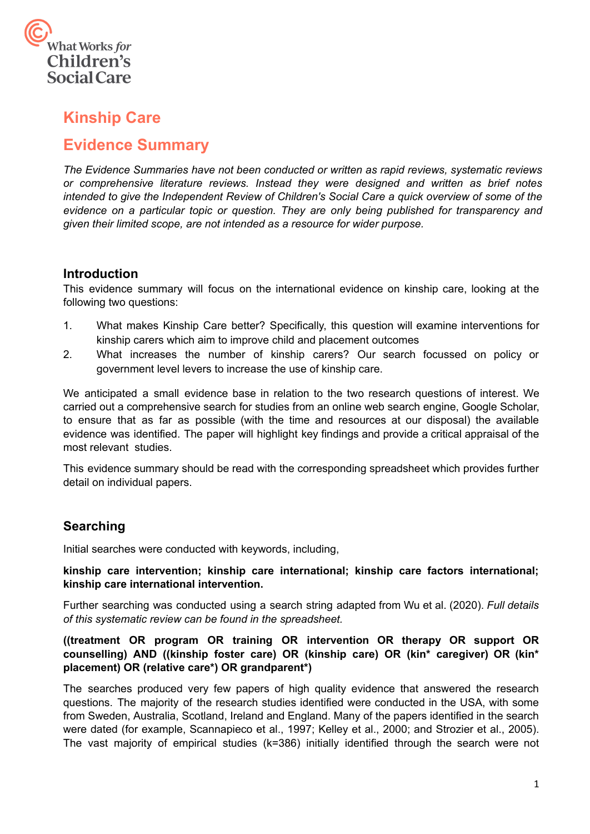

# **Kinship Care**

## **Evidence Summary**

*The Evidence Summaries have not been conducted or written as rapid reviews, systematic reviews or comprehensive literature reviews. Instead they were designed and written as brief notes intended to give the Independent Review of Children's Social Care a quick overview of some of the evidence on a particular topic or question. They are only being published for transparency and given their limited scope, are not intended as a resource for wider purpose.*

## **Introduction**

This evidence summary will focus on the international evidence on kinship care, looking at the following two questions:

- 1. What makes Kinship Care better? Specifically, this question will examine interventions for kinship carers which aim to improve child and placement outcomes
- 2. What increases the number of kinship carers? Our search focussed on policy or government level levers to increase the use of kinship care.

We anticipated a small evidence base in relation to the two research questions of interest. We carried out a comprehensive search for studies from an online web search engine, Google Scholar, to ensure that as far as possible (with the time and resources at our disposal) the available evidence was identified. The paper will highlight key findings and provide a critical appraisal of the most relevant studies.

This evidence summary should be read with the corresponding spreadsheet which provides further detail on individual papers.

## **Searching**

Initial searches were conducted with keywords, including,

**kinship care intervention; kinship care international; kinship care factors international; kinship care international intervention.**

Further searching was conducted using a search string adapted from Wu et al. (2020). *Full details of this systematic review can be found in the spreadsheet.*

#### **((treatment OR program OR training OR intervention OR therapy OR support OR counselling) AND ((kinship foster care) OR (kinship care) OR (kin\* caregiver) OR (kin\* placement) OR (relative care\*) OR grandparent\*)**

The searches produced very few papers of high quality evidence that answered the research questions. The majority of the research studies identified were conducted in the USA, with some from Sweden, Australia, Scotland, Ireland and England. Many of the papers identified in the search were dated (for example, Scannapieco et al., 1997; Kelley et al., 2000; and Strozier et al., 2005). The vast majority of empirical studies (k=386) initially identified through the search were not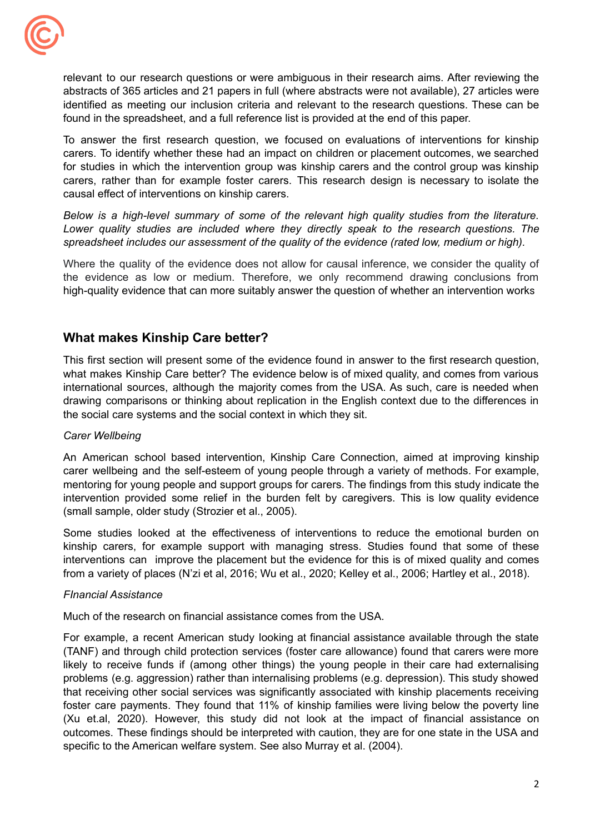

relevant to our research questions or were ambiguous in their research aims. After reviewing the abstracts of 365 articles and 21 papers in full (where abstracts were not available), 27 articles were identified as meeting our inclusion criteria and relevant to the research questions. These can be found in the spreadsheet, and a full reference list is provided at the end of this paper.

To answer the first research question, we focused on evaluations of interventions for kinship carers. To identify whether these had an impact on children or placement outcomes, we searched for studies in which the intervention group was kinship carers and the control group was kinship carers, rather than for example foster carers. This research design is necessary to isolate the causal effect of interventions on kinship carers.

*Below is a high-level summary of some of the relevant high quality studies from the literature. Lower quality studies are included where they directly speak to the research questions. The spreadsheet includes our assessment of the quality of the evidence (rated low, medium or high).*

Where the quality of the evidence does not allow for causal inference, we consider the quality of the evidence as low or medium. Therefore, we only recommend drawing conclusions from high-quality evidence that can more suitably answer the question of whether an intervention works

### **What makes Kinship Care better?**

This first section will present some of the evidence found in answer to the first research question, what makes Kinship Care better? The evidence below is of mixed quality, and comes from various international sources, although the majority comes from the USA. As such, care is needed when drawing comparisons or thinking about replication in the English context due to the differences in the social care systems and the social context in which they sit.

#### *Carer Wellbeing*

An American school based intervention, Kinship Care Connection, aimed at improving kinship carer wellbeing and the self-esteem of young people through a variety of methods. For example, mentoring for young people and support groups for carers. The findings from this study indicate the intervention provided some relief in the burden felt by caregivers. This is low quality evidence (small sample, older study (Strozier et al., 2005).

Some studies looked at the effectiveness of interventions to reduce the emotional burden on kinship carers, for example support with managing stress. Studies found that some of these interventions can improve the placement but the evidence for this is of mixed quality and comes from a variety of places (N'zi et al, 2016; Wu et al., 2020; Kelley et al., 2006; Hartley et al., 2018).

#### *FInancial Assistance*

Much of the research on financial assistance comes from the USA.

For example, a recent American study looking at financial assistance available through the state (TANF) and through child protection services (foster care allowance) found that carers were more likely to receive funds if (among other things) the young people in their care had externalising problems (e.g. aggression) rather than internalising problems (e.g. depression). This study showed that receiving other social services was significantly associated with kinship placements receiving foster care payments. They found that 11% of kinship families were living below the poverty line (Xu et.al, 2020). However, this study did not look at the impact of financial assistance on outcomes. These findings should be interpreted with caution, they are for one state in the USA and specific to the American welfare system. See also Murray et al. (2004).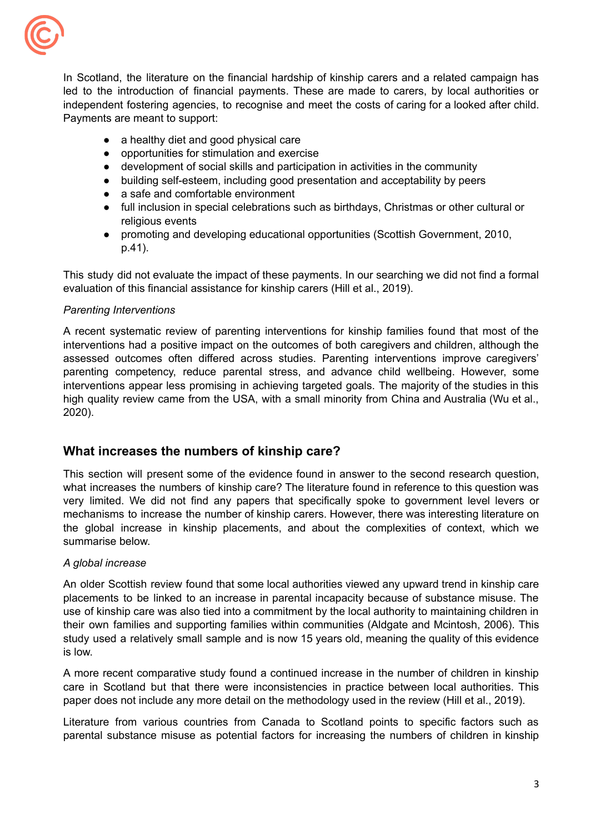

In Scotland, the literature on the financial hardship of kinship carers and a related campaign has led to the introduction of financial payments. These are made to carers, by local authorities or independent fostering agencies, to recognise and meet the costs of caring for a looked after child. Payments are meant to support:

- a healthy diet and good physical care
- opportunities for stimulation and exercise
- development of social skills and participation in activities in the community
- building self-esteem, including good presentation and acceptability by peers
- a safe and comfortable environment
- full inclusion in special celebrations such as birthdays, Christmas or other cultural or religious events
- promoting and developing educational opportunities (Scottish Government, 2010, p.41).

This study did not evaluate the impact of these payments. In our searching we did not find a formal evaluation of this financial assistance for kinship carers (Hill et al., 2019).

#### *Parenting Interventions*

A recent systematic review of parenting interventions for kinship families found that most of the interventions had a positive impact on the outcomes of both caregivers and children, although the assessed outcomes often differed across studies. Parenting interventions improve caregivers' parenting competency, reduce parental stress, and advance child wellbeing. However, some interventions appear less promising in achieving targeted goals. The majority of the studies in this high quality review came from the USA, with a small minority from China and Australia (Wu et al., 2020).

#### **What increases the numbers of kinship care?**

This section will present some of the evidence found in answer to the second research question, what increases the numbers of kinship care? The literature found in reference to this question was very limited. We did not find any papers that specifically spoke to government level levers or mechanisms to increase the number of kinship carers. However, there was interesting literature on the global increase in kinship placements, and about the complexities of context, which we summarise below.

#### *A global increase*

An older Scottish review found that some local authorities viewed any upward trend in kinship care placements to be linked to an increase in parental incapacity because of substance misuse. The use of kinship care was also tied into a commitment by the local authority to maintaining children in their own families and supporting families within communities (Aldgate and Mcintosh, 2006). This study used a relatively small sample and is now 15 years old, meaning the quality of this evidence is low.

A more recent comparative study found a continued increase in the number of children in kinship care in Scotland but that there were inconsistencies in practice between local authorities. This paper does not include any more detail on the methodology used in the review (Hill et al., 2019).

Literature from various countries from Canada to Scotland points to specific factors such as parental substance misuse as potential factors for increasing the numbers of children in kinship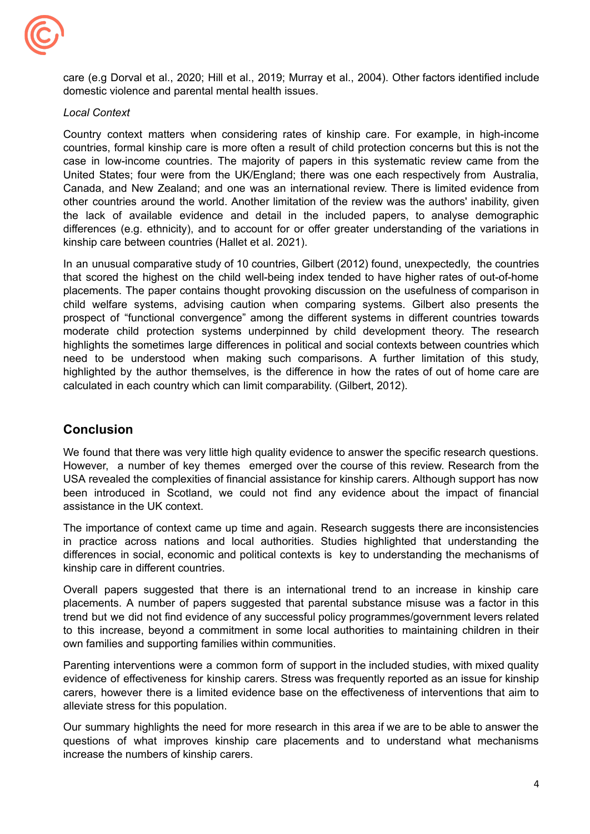

care (e.g Dorval et al., 2020; Hill et al., 2019; Murray et al., 2004). Other factors identified include domestic violence and parental mental health issues.

#### *Local Context*

Country context matters when considering rates of kinship care. For example, in high-income countries, formal kinship care is more often a result of child protection concerns but this is not the case in low-income countries. The majority of papers in this systematic review came from the United States; four were from the UK/England; there was one each respectively from Australia, Canada, and New Zealand; and one was an international review. There is limited evidence from other countries around the world. Another limitation of the review was the authors' inability, given the lack of available evidence and detail in the included papers, to analyse demographic differences (e.g. ethnicity), and to account for or offer greater understanding of the variations in kinship care between countries (Hallet et al. 2021).

In an unusual comparative study of 10 countries, Gilbert (2012) found, unexpectedly, the countries that scored the highest on the child well-being index tended to have higher rates of out-of-home placements. The paper contains thought provoking discussion on the usefulness of comparison in child welfare systems, advising caution when comparing systems. Gilbert also presents the prospect of "functional convergence" among the different systems in different countries towards moderate child protection systems underpinned by child development theory. The research highlights the sometimes large differences in political and social contexts between countries which need to be understood when making such comparisons. A further limitation of this study, highlighted by the author themselves, is the difference in how the rates of out of home care are calculated in each country which can limit comparability. (Gilbert, 2012).

## **Conclusion**

We found that there was very little high quality evidence to answer the specific research questions. However, a number of key themes emerged over the course of this review. Research from the USA revealed the complexities of financial assistance for kinship carers. Although support has now been introduced in Scotland, we could not find any evidence about the impact of financial assistance in the UK context.

The importance of context came up time and again. Research suggests there are inconsistencies in practice across nations and local authorities. Studies highlighted that understanding the differences in social, economic and political contexts is key to understanding the mechanisms of kinship care in different countries.

Overall papers suggested that there is an international trend to an increase in kinship care placements. A number of papers suggested that parental substance misuse was a factor in this trend but we did not find evidence of any successful policy programmes/government levers related to this increase, beyond a commitment in some local authorities to maintaining children in their own families and supporting families within communities.

Parenting interventions were a common form of support in the included studies, with mixed quality evidence of effectiveness for kinship carers. Stress was frequently reported as an issue for kinship carers, however there is a limited evidence base on the effectiveness of interventions that aim to alleviate stress for this population.

Our summary highlights the need for more research in this area if we are to be able to answer the questions of what improves kinship care placements and to understand what mechanisms increase the numbers of kinship carers.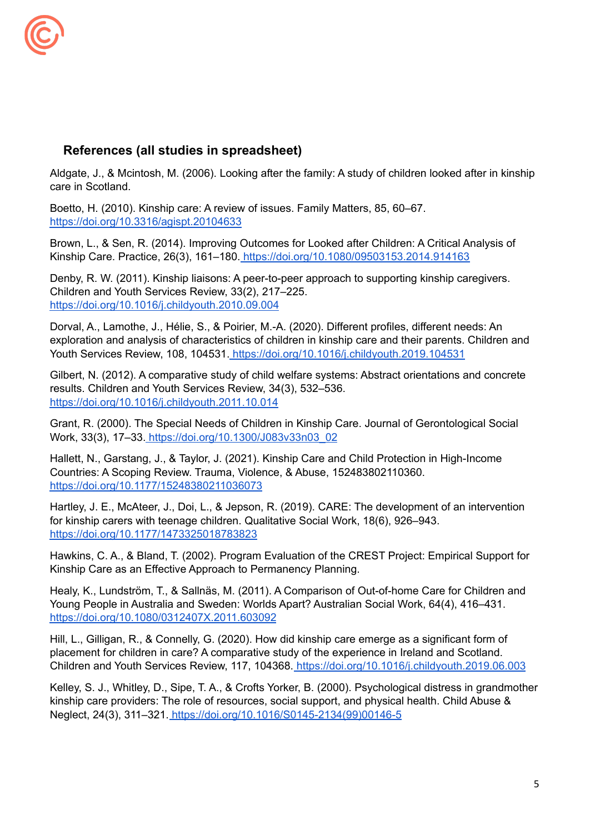## **References (all studies in spreadsheet)**

Aldgate, J., & Mcintosh, M. (2006). Looking after the family: A study of children looked after in kinship care in Scotland.

Boetto, H. (2010). Kinship care: A review of issues. Family Matters, 85, 60–67. <https://doi.org/10.3316/agispt.20104633>

Brown, L., & Sen, R. (2014). Improving Outcomes for Looked after Children: A Critical Analysis of Kinship Care. Practice, 26(3), 161–180. <https://doi.org/10.1080/09503153.2014.914163>

Denby, R. W. (2011). Kinship liaisons: A peer-to-peer approach to supporting kinship caregivers. Children and Youth Services Review, 33(2), 217–225. <https://doi.org/10.1016/j.childyouth.2010.09.004>

Dorval, A., Lamothe, J., Hélie, S., & Poirier, M.-A. (2020). Different profiles, different needs: An exploration and analysis of characteristics of children in kinship care and their parents. Children and Youth Services Review, 108, 104531. <https://doi.org/10.1016/j.childyouth.2019.104531>

Gilbert, N. (2012). A comparative study of child welfare systems: Abstract orientations and concrete results. Children and Youth Services Review, 34(3), 532–536[.](https://doi.org/10.1016/j.childyouth.2011.10.014) <https://doi.org/10.1016/j.childyouth.2011.10.014>

Grant, R. (2000). The Special Needs of Children in Kinship Care. Journal of Gerontological Social Work, 33(3), 17–33. [https://doi.org/10.1300/J083v33n03\\_02](https://doi.org/10.1300/J083v33n03_02)

Hallett, N., Garstang, J., & Taylor, J. (2021). Kinship Care and Child Protection in High-Income Countries: A Scoping Review. Trauma, Violence, & Abuse, 152483802110360. <https://doi.org/10.1177/15248380211036073>

Hartley, J. E., McAteer, J., Doi, L., & Jepson, R. (2019). CARE: The development of an intervention for kinship carers with teenage children. Qualitative Social Work, 18(6), 926–943[.](https://doi.org/10.1177/1473325018783823) <https://doi.org/10.1177/1473325018783823>

Hawkins, C. A., & Bland, T. (2002). Program Evaluation of the CREST Project: Empirical Support for Kinship Care as an Effective Approach to Permanency Planning.

Healy, K., Lundström, T., & Sallnäs, M. (2011). A Comparison of Out-of-home Care for Children and Young People in Australia and Sweden: Worlds Apart? Australian Social Work, 64(4), 416–431. <https://doi.org/10.1080/0312407X.2011.603092>

Hill, L., Gilligan, R., & Connelly, G. (2020). How did kinship care emerge as a significant form of placement for children in care? A comparative study of the experience in Ireland and Scotland. Children and Youth Services Review, 117, 104368. <https://doi.org/10.1016/j.childyouth.2019.06.003>

Kelley, S. J., Whitley, D., Sipe, T. A., & Crofts Yorker, B. (2000). Psychological distress in grandmother kinship care providers: The role of resources, social support, and physical health. Child Abuse & Neglect, 24(3), 311–321. [https://doi.org/10.1016/S0145-2134\(99\)00146-5](https://doi.org/10.1016/S0145-2134(99)00146-5)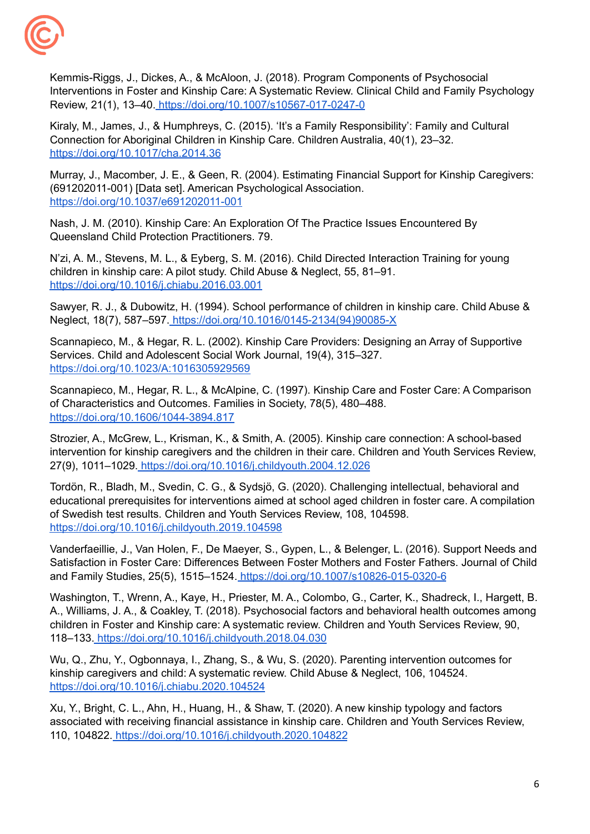

Kemmis-Riggs, J., Dickes, A., & McAloon, J. (2018). Program Components of Psychosocial Interventions in Foster and Kinship Care: A Systematic Review. Clinical Child and Family Psychology Review, 21(1), 13–40. <https://doi.org/10.1007/s10567-017-0247-0>

Kiraly, M., James, J., & Humphreys, C. (2015). 'It's a Family Responsibility': Family and Cultural Connection for Aboriginal Children in Kinship Care. Children Australia, 40(1), 23–32. <https://doi.org/10.1017/cha.2014.36>

Murray, J., Macomber, J. E., & Geen, R. (2004). Estimating Financial Support for Kinship Caregivers: (691202011-001) [Data set]. American Psychological Association. <https://doi.org/10.1037/e691202011-001>

Nash, J. M. (2010). Kinship Care: An Exploration Of The Practice Issues Encountered By Queensland Child Protection Practitioners. 79.

N'zi, A. M., Stevens, M. L., & Eyberg, S. M. (2016). Child Directed Interaction Training for young children in kinship care: A pilot study. Child Abuse & Neglect, 55, 81–91. <https://doi.org/10.1016/j.chiabu.2016.03.001>

Sawyer, R. J., & Dubowitz, H. (1994). School performance of children in kinship care. Child Abuse & Neglect, 18(7), 587–597. [https://doi.org/10.1016/0145-2134\(94\)90085-X](https://doi.org/10.1016/0145-2134(94)90085-X)

Scannapieco, M., & Hegar, R. L. (2002). Kinship Care Providers: Designing an Array of Supportive Services. Child and Adolescent Social Work Journal, 19(4), 315–327. <https://doi.org/10.1023/A:1016305929569>

Scannapieco, M., Hegar, R. L., & McAlpine, C. (1997). Kinship Care and Foster Care: A Comparison of Characteristics and Outcomes. Families in Society, 78(5), 480–488[.](https://doi.org/10.1606/1044-3894.817) <https://doi.org/10.1606/1044-3894.817>

Strozier, A., McGrew, L., Krisman, K., & Smith, A. (2005). Kinship care connection: A school-based intervention for kinship caregivers and the children in their care. Children and Youth Services Review, 27(9), 1011–1029. <https://doi.org/10.1016/j.childyouth.2004.12.026>

Tordön, R., Bladh, M., Svedin, C. G., & Sydsjö, G. (2020). Challenging intellectual, behavioral and educational prerequisites for interventions aimed at school aged children in foster care. A compilation of Swedish test results. Children and Youth Services Review, 108, 104598. <https://doi.org/10.1016/j.childyouth.2019.104598>

Vanderfaeillie, J., Van Holen, F., De Maeyer, S., Gypen, L., & Belenger, L. (2016). Support Needs and Satisfaction in Foster Care: Differences Between Foster Mothers and Foster Fathers. Journal of Child and Family Studies, 25(5), 1515–1524. <https://doi.org/10.1007/s10826-015-0320-6>

Washington, T., Wrenn, A., Kaye, H., Priester, M. A., Colombo, G., Carter, K., Shadreck, I., Hargett, B. A., Williams, J. A., & Coakley, T. (2018). Psychosocial factors and behavioral health outcomes among children in Foster and Kinship care: A systematic review. Children and Youth Services Review, 90, 118–133. <https://doi.org/10.1016/j.childyouth.2018.04.030>

Wu, Q., Zhu, Y., Ogbonnaya, I., Zhang, S., & Wu, S. (2020). Parenting intervention outcomes for kinship caregivers and child: A systematic review. Child Abuse & Neglect, 106, 104524. <https://doi.org/10.1016/j.chiabu.2020.104524>

Xu, Y., Bright, C. L., Ahn, H., Huang, H., & Shaw, T. (2020). A new kinship typology and factors associated with receiving financial assistance in kinship care. Children and Youth Services Review, 110, 104822. <https://doi.org/10.1016/j.childyouth.2020.104822>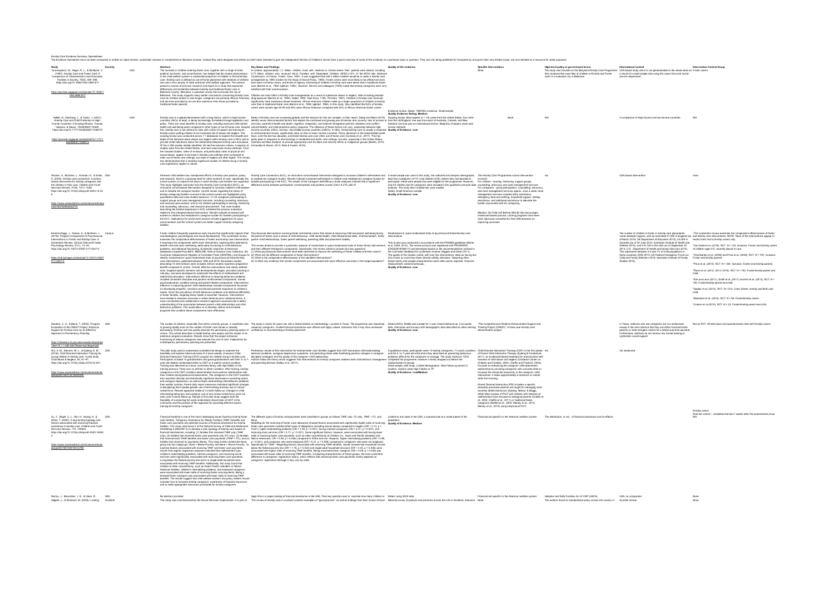| Kinship Care Evidence Summary Spreadsheet                                                                                                                                                                                                                                                                                                                                    |            |                                                                                                                                                                                                                                                                                                                                                                                                                                                                                                                                                                                                                                                                                                               | The Evidence Summaries have not been conducted or written as rapid reviews, systematic reviews or comprehensive Iterature reviews. Instead they were designed and witten as brief notes intended to give the Independent Revie                                                                                                                                                                                                                                                                                                                                                                                                                                                                                                                                                                                                                                                                                                                                                                                            |                                                                                                                                                                                                                                                                                                                                                                          |                                                                                                                                                                                                                                                                                          |                                                                                |                                                                                                                                                                                                                                                            |                                                                                                                                                                                                                                                                                                                                                                                                                                                                                                                                                                                                                                                                                                                                           |
|------------------------------------------------------------------------------------------------------------------------------------------------------------------------------------------------------------------------------------------------------------------------------------------------------------------------------------------------------------------------------|------------|---------------------------------------------------------------------------------------------------------------------------------------------------------------------------------------------------------------------------------------------------------------------------------------------------------------------------------------------------------------------------------------------------------------------------------------------------------------------------------------------------------------------------------------------------------------------------------------------------------------------------------------------------------------------------------------------------------------|---------------------------------------------------------------------------------------------------------------------------------------------------------------------------------------------------------------------------------------------------------------------------------------------------------------------------------------------------------------------------------------------------------------------------------------------------------------------------------------------------------------------------------------------------------------------------------------------------------------------------------------------------------------------------------------------------------------------------------------------------------------------------------------------------------------------------------------------------------------------------------------------------------------------------------------------------------------------------------------------------------------------------|--------------------------------------------------------------------------------------------------------------------------------------------------------------------------------------------------------------------------------------------------------------------------------------------------------------------------------------------------------------------------|------------------------------------------------------------------------------------------------------------------------------------------------------------------------------------------------------------------------------------------------------------------------------------------|--------------------------------------------------------------------------------|------------------------------------------------------------------------------------------------------------------------------------------------------------------------------------------------------------------------------------------------------------|-------------------------------------------------------------------------------------------------------------------------------------------------------------------------------------------------------------------------------------------------------------------------------------------------------------------------------------------------------------------------------------------------------------------------------------------------------------------------------------------------------------------------------------------------------------------------------------------------------------------------------------------------------------------------------------------------------------------------------------------|
| Country<br>survey<br>(1997). Kinship Care and Foster Care: A<br>(1997). Kinship Care and Foster Care: A<br>Comparison of Characteristics and Outcomes.<br>Families in Society, 78(5), 480–488.<br>https://doi.org/10.1606/1044-3894.817<br>https://journals.sagepub.com/doi/abs/10.1606/1<br>044-3894.817                                                                    | 1194       |                                                                                                                                                                                                                                                                                                                                                                                                                                                                                                                                                                                                                                                                                                               | <b>Key Notes and Findings</b><br>Absort<br>Absorption and the entergy bodie case, bugether with a range of other in the space of the control and Findebyt<br>The increase in other terms of the control of other in free particles in the control of the set of the<br>carers were women age 35-55 and 49% were African American compared with 25% of African American foster carers.                                                                                                                                                                                                                                                                                                                                                                                                                                                                                                                                                                                                                                     | Quality of the evidence<br>Evidence review. Dated, 1980/90s evidence. Small sample.<br>Quality Evidence Rating: Medium                                                                                                                                                                                                                                                   | Specific Interventions                                                                                                                                                                                                                                                                   | High-level policy or government levers                                         | International context<br>The study was focused on the Maryland Kinship Care Programme, USA based study which is not generalisable to the whole state as Foster carers.<br>The study was focused on the Maryland Kinship and Foster are a result of a small | <b>Intervention Control Group</b>                                                                                                                                                                                                                                                                                                                                                                                                                                                                                                                                                                                                                                                                                                         |
| Hallett, N., Garstang, J., & Taylor, J. (2021).<br>Kirahip Care and Child Protection in High-<br>Income Countries: A Scoping Review. Trauma,<br>Volence, & Abuse, 152483802110360.<br>https://idoi.org/10.1177/15248380211036073<br>https://journals.sagepub.com/doi/full/10.1177/1                                                                                          | <b>USA</b> | studies were from the United States, and most used case review methods. From<br>the included studies, rates of re-abuse, and particularly rates of physical and<br>exual abuse, appear to be lower in kinship care settings when compared to<br>other out-of-home care settings, but rates of neglect are often higher. This review<br>has demonstrated that a small but significant number of children living in kinship<br>care experience neglect or abus                                                                                                                                                                                                                                                  | Contract a photon company in the photo-state in the first of the of the other than the contract of the contract of party in the contract of party in the contract of party in the contract of party in the contract of party i<br>Apply the term out outsubs and the place of the state of the state of the state of the state of the state of the state of the state of the state of the state of the state of the state of the state of the state of the state                                                                                                                                                                                                                                                                                                                                                                                                                                                                                                                                                          |                                                                                                                                                                                                                                                                                                                                                                          | None                                                                                                                                                                                                                                                                                     | N/A                                                                            | A comparison of high-income and low-income countries                                                                                                                                                                                                       |                                                                                                                                                                                                                                                                                                                                                                                                                                                                                                                                                                                                                                                                                                                                           |
| Strozier, A., McGrew, L., Krisman, K., & Smith, USA<br>A. (2005). Kinship care connection: A schor<br>based intervention for kinship caregivers and<br>the children in their care. Children and Youth<br><b>Services Review 27/9) 1011-1029</b><br>https://doi.org/10.1016/j.childyouth.2004.12.02<br>https://www.sciencedirect.com/science/article/p<br>iVS0190740904002774 |            | related to this intergenerational intervention. Results indicate increased self-<br>esteem in children and mediated kin caregiver burden for families participating in<br>the KCC. Implications for social work practice include sug                                                                                                                                                                                                                                                                                                                                                                                                                                                                          |                                                                                                                                                                                                                                                                                                                                                                                                                                                                                                                                                                                                                                                                                                                                                                                                                                                                                                                                                                                                                           | particular, the weak paragret and with electromagnetic process and the control of the control of the control of the control of the control of the control of the control of the control of the control of the control of the                                                                                                                                             | Mention: No Child Left Behind (NCLB) that encourages<br>evidenced-based practice, tubring programs have been<br>more rigorously evaluated for their effectiveness on<br>improving outcomes                                                                                               |                                                                                | USA based intervention                                                                                                                                                                                                                                     |                                                                                                                                                                                                                                                                                                                                                                                                                                                                                                                                                                                                                                                                                                                                           |
| Kemmis-Riggs, J., Dickes, A., & McAlcon, J. Various<br>(2018). Program Components of Psychosocial<br>Interventions in Foster and Kinship Care: A<br>Systematic Review. Clinical Child and Family<br>Psychology Review. 21(1), 13-40.<br>Mercu<br>https://doi.org/10.1007/s10567-017-0247-0<br>https://link.springer.com/article/10.1007/s10567<br>017-0247-0                 |            | aims, targeted specific domains and developmental stages, provided coaching or role play, and were developed to amelonate the effects of matreatment and relationship disruption. Interventions effective in reducing behaviou<br>visual consistent discipline and positive reinforcement components, trauma<br>psychoeducation, problem-solving and parent-related components, trauma<br>psychoeducation, problem-solving and parent-related components. Intervention<br>effective in improving parenti-child mislatoning in included components to chause<br>of the condition and different conditions of the condition of the condition<br>of the condition of the condition of the condition of the condi | — « « « « « « » » » » » » » » » » » « » » » » « » » » « » » » » » » » » » « » » » » » » » » » » » » » » » » » »<br>Фисфер 14 векетов жен плады. Вы « выды произ сондарии» — « » » » » » « « » « « » « » » «» » » » » « » » « » «                                                                                                                                                                                                                                                                                                                                                                                                                                                                                                                                                                                                                                                                                                                                                                                          | This review was condicted in a noncolance with the PREMA existines (Mohar et al. 2009, 2015). The review grotocol was registered with PRCSFR-RO (CREN20) (2015). The review grotocolance configuration configuration control<br>lacked clarity and sample characteristics were often poorly reported. Outcome<br>surement varied enormously,<br>Quality of Evidence: Low |                                                                                                                                                                                                                                                                                          |                                                                                | Studies 2016).                                                                                                                                                                                                                                             | The amber of distincts basis existing can accept<br>and the control of the control of the control of the control of the system of the control of the control of<br>the control of the control of Euclidean 2015, 4,0,000 in model o<br>"Price et al. (2015). RCT. N = 354. Inclusion: Foster and kinship parents.<br>"Pears et al. (2012: 2013: 2016). RCT. N = 192. Foster/kinship parent and<br>"Kim and Leve (2011), Smith et al. (2011) and Kim et al. (2013). RCT. N =<br>100. Foster/kinship parent and child<br>*Speker et al. (2012). RCT. N = 210. Carer (foster, kinship and birth) and<br>"Maaskant et al. (2016). RCT. N = 88. Foster/kinship carers.<br>"Linares et al (2015). RCT. N = 22. Foster/kinship parent and child. |
| Hawkins, C. A., & Bland, T. (2002). Program USA<br>Evaluation of the CREST Project: Empirical<br>Support for Kinship Care as an Effective<br>Approach to Permanency Planning.<br>https://citeseenx.ist.psu.edu/viewdoc/download<br>?doi=10.1.1.485.8347&rep=rep1&type=pdf                                                                                                    |            | functioning of relative caregivers and reduces the cost of care. Implications for                                                                                                                                                                                                                                                                                                                                                                                                                                                                                                                                                                                                                             | Te anded children consideration in the main of the state of the state of the state of the state of the state of the state of the state of the state of the state of the state of the state of the state of the state of the s                                                                                                                                                                                                                                                                                                                                                                                                                                                                                                                                                                                                                                                                                                                                                                                             |                                                                                                                                                                                                                                                                                                                                                                          |                                                                                                                                                                                                                                                                                          |                                                                                | In Texas, relatives who are caregivers are not reimbursed,<br>except in the rare instance that they are either licenced foster<br>parents or meet stringent criteria for a limited one-time payment.<br>Furthermore, relatives do not                      | Not an RCT. All interviews and questionnaires held with Kinship carers.                                                                                                                                                                                                                                                                                                                                                                                                                                                                                                                                                                                                                                                                   |
| N.J. A. M. Stevens, M. L., & Eyberg, S. M. USA<br>young children in kinship care: A pilot study<br>Child Abuse & Neglect, 55, 81-91.<br>https://doi.org/10.1016/j.chiabu.2016.03.001<br>https://www.sciencedirect.com/science/article/<br>abs/pii/50145213416300229                                                                                                          |            | internalizing behaviors and caregiver use of non-oritical verbal force were not<br>seen until 3-month follow-up. Results of this pilot study suggest both the<br>feasibility of conducting full scale randomized clinical trials of CDIT in the community and the promise of this approach for providing effective parent training for kinship caregivers.                                                                                                                                                                                                                                                                                                                                                    | $\label{t:2.1} \begin{minipage}[t]{0.9\textwidth}\begin{minipage}[t]{0.9\textwidth}\begin{minipage}[t]{0.9\textwidth}\begin{minipage}[t]{0.9\textwidth}\begin{minipage}[t]{0.9\textwidth}\begin{minipage}[t]{0.9\textwidth}\begin{minipage}[t]{0.9\textwidth}\begin{minipage}[t]{0.9\textwidth}\begin{minipage}[t]{0.9\textwidth}\begin{minipage}[t]{0.9\textwidth}\begin{minipage}[t]{0.9\textwidth}\begin{minipage}[t]{0.9\textwidth}\begin{minipage}[t]{0.9\textwidth}\begin{minipage}[t]{0.9\textwidth}\$                                                                                                                                                                                                                                                                                                                                                                                                                                                                                                             |                                                                                                                                                                                                                                                                                                                                                                          | severely defiant behaviors (Eyberg, Nelson, & Boggs,<br>maltreatment have focused on biological parents (Chaffin et<br>al., 2004. Chaffin et al., 2011) or traditional foster<br>caregivers (McNeil et al., 2005, Mersky et al., 2014,<br>Mersky et al., 2015) using full-protocol PCIT. |                                                                                | not mentioned                                                                                                                                                                                                                                              | Wait-list control - completed training 7 weeks after the experimental group                                                                                                                                                                                                                                                                                                                                                                                                                                                                                                                                                                                                                                                               |
| Xu Y., Bright, C. L., Ahn, H., Huang, H., & USA<br>xu, Y., enght, C. L., Ahn, H., Huang, H., &<br>Shrw, T. (2020). A new kinship typology and<br>factors associated with receiving financial<br>factors associated with receiving financial<br>Saristicare in kinship care. Children and Yout<br>https://www.sciencedirect.com/science/article/<br>abs/oil/S0190740919312769 |            | services were significantly associated with receiving foster care payments.<br>Living below the federal poverty line and in a single-adult household were<br>associated with receiving TANF benefits. Additionally, this study found<br>associated with neceiving TAP Exerofits. Additionally, this shotly fourthful children<br>clusters of Native contributions of Native Schedule and Control of Native<br>American function of Native American control of Native Americ                                                                                                                                                                                                                                   | $Fase is the most of the most of the data, the most of the data, the most of the data, the most of the data, the most of the data, the most of the data, the most of the data, the most of the data, the most of the data, the most of the data, the most of the data, the most of the data, the most of the data, the most of the data, the most of the data, the most of the data, the most of the data, the most of the data, the most of the data, the most of the data, the most of the data, the most of the data, the most of the data, the most of the data, the most of the data, the most of the data, the most of the data, the most of the data, the most of the data, the most of the data, the most of the data, the most of the data, the most of the data, the most of the data, the most of the data, the most of the$<br>difference is caregivers' registration status, which reflects that receiving foster care payments mostly depends on<br>caregivers' registration although it may vary by state. |                                                                                                                                                                                                                                                                                                                                                                          |                                                                                                                                                                                                                                                                                          |                                                                                |                                                                                                                                                                                                                                                            |                                                                                                                                                                                                                                                                                                                                                                                                                                                                                                                                                                                                                                                                                                                                           |
| Murray, J., Macomber, J. E., & Geen, R. USA<br>Aldgate, J., & Mcintosh, M. (2006). Looking Scotlan                                                                                                                                                                                                                                                                           |            | No abstract provided                                                                                                                                                                                                                                                                                                                                                                                                                                                                                                                                                                                                                                                                                          | Again this is a paper looking at financial assistance in the USA. Their key question was to examine how many children in Dated, using 2002 data.<br>This study was commissioned by the Social Services Inspectorate. It is part of This review of Kinship care in scotland contains examples of "good practice", as well as findings from their review of local National survey of                                                                                                                                                                                                                                                                                                                                                                                                                                                                                                                                                                                                                                        |                                                                                                                                                                                                                                                                                                                                                                          | Financial aid specific to the American welfare system Adoption and Safe Families Act of 1997 (ASFA).                                                                                                                                                                                     | The authors found no standardised policy across the country in Scottish review | <b>LISA no comparator</b>                                                                                                                                                                                                                                  | None                                                                                                                                                                                                                                                                                                                                                                                                                                                                                                                                                                                                                                                                                                                                      |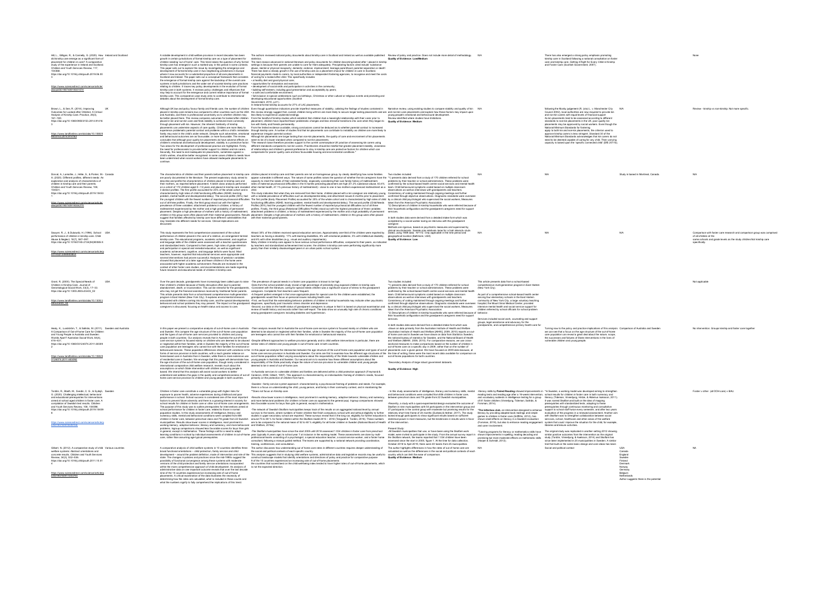| Hill, L., Gilligan, R., & Connelly, G. (2020). How Ireland and Scotland<br>did kinship care emerge as a significant form of<br>placement for children in care? A comparative<br>study of the experience in Ireland and Scotland.<br>Children and Youth Services Review, 117.<br>104368<br>https://doi.org/10.1016/j.childyouth.2019.06.00<br>https://www.sciencedirect.com/science/article/<br>abs/pii/S0190740919301574<br>Brown, L., & Sen, R. (2014). Improving<br>Outcomes for Looked after Children: A Chitical<br>Analysis of Kinship Care. Practice, 26(3),<br>161–180.<br>https://doi.org/10.1080/09503153.2014.91416<br>https://www.tandfonline.com/doi/abs/10.1080/0<br>9503153.2014.914163 | his paper sets out to explore this issue by investigating the emergence and<br>evelopment of formal kinship care in two neighboring jurisdictions in Europe                                                                                                                                                                                                                                                                                                                                         | A notable developmet in child wellure provision in reart decedes has been <sup>The</sup> authors reviewed rational policy documents about kindip care in Scolains and instituted as well as a swillable published on the field of parti<br>kinship care has emerged in such a marked way in this period in some contexts. settings is because their parents are unable to care for them adequately. Precipitating factors cited include 'substance<br>abuse, mental or physical incapacity; domestic violence; imprisonment; teenage parenthood; parental separation or death'<br>There has been a steady growth in the use of kinship care as a placement choice for children in care<br>when the man of the company of the company of the company of the company of the company of the company of the company of the company of the company of the company of the company of the company of the company of the company<br>is when the control of the state of the control of the control of the control of the control of the control of the control of the control of the control of the control of the control of the control of the control of the c<br>In Ireland formal kinship accounts for 27% of LAC placements.<br>Alboy it knows play have they are the material of children in the product material and the company of the company of the company of the company of the state of the company of the company of the company of the company of th<br>packin in a method of the state of the state of the state of the state of the state of the state of the state of the state of the state of the state of the state of the state of the state of the state of the state of the<br>concors - removey prot tempt to justimate the temperatures and as the one state and compared to shall place of states of states of states of states of states of states of states of states of states of states of states of s |                                                                                                                                                                                                                                                                                                                                                                                                                                                                                                                                                                                                                                                                                                                                                                                                                                                                                                        |                                                                                                                                                                                                                                                                                                                                                                                                                                                                                                                                         | There has also emerged a strong policy emphasis promoting<br>kinship care in Scotland following a national consultation on foste<br>care and kinship care, Getting it Right for Every Child in Kinship<br>and Foster Care (Scottish Government, 2007)<br>following the Munby judgement (R. (cta) L. v. Manchester City<br>Council 2002), local authorities are now required to provide kin<br>and non-kin carers with equal levels of financial support<br>As kin placements tend to be assessed according to different<br>standards to non-kin placements in the UK, poor quality kin<br>placements may be approved by social workers. Even though the<br>National Minimum Standards for fostering<br>apply to both kin and non-kin placements, the criterion used to<br>approve kinehip carers is less stringent. Standard 30 o<br>National Minimum Standards acknowledges that kin carers do not<br>need to be deemed capable of caring for any child. Their carrying<br>capacity is based upon the 'specific connected child' (DfE 2011b) |                                                                                   | Review - kinship vs non-kinship. Not more specific                                                                                                                                         |
|-------------------------------------------------------------------------------------------------------------------------------------------------------------------------------------------------------------------------------------------------------------------------------------------------------------------------------------------------------------------------------------------------------------------------------------------------------------------------------------------------------------------------------------------------------------------------------------------------------------------------------------------------------------------------------------------------------|-----------------------------------------------------------------------------------------------------------------------------------------------------------------------------------------------------------------------------------------------------------------------------------------------------------------------------------------------------------------------------------------------------------------------------------------------------------------------------------------------------|--------------------------------------------------------------------------------------------------------------------------------------------------------------------------------------------------------------------------------------------------------------------------------------------------------------------------------------------------------------------------------------------------------------------------------------------------------------------------------------------------------------------------------------------------------------------------------------------------------------------------------------------------------------------------------------------------------------------------------------------------------------------------------------------------------------------------------------------------------------------------------------------------------------------------------------------------------------------------------------------------------------------------------------------------------------------------------------------------------------------------------------------------------------------------------------------------------------------------------------------------------------------------------------------------------------------------------------------------------------------------------------------------------------------------------------------------------------------------------------------------------------------------------------------------------------------------------------------------------------------------------------------------------------------------------------------------------------------------------------------------------------------------------------------------------------------------------------------------------------------------------------------------------------------------------|--------------------------------------------------------------------------------------------------------------------------------------------------------------------------------------------------------------------------------------------------------------------------------------------------------------------------------------------------------------------------------------------------------------------------------------------------------------------------------------------------------------------------------------------------------------------------------------------------------------------------------------------------------------------------------------------------------------------------------------------------------------------------------------------------------------------------------------------------------------------------------------------------------|-----------------------------------------------------------------------------------------------------------------------------------------------------------------------------------------------------------------------------------------------------------------------------------------------------------------------------------------------------------------------------------------------------------------------------------------------------------------------------------------------------------------------------------------|-----------------------------------------------------------------------------------------------------------------------------------------------------------------------------------------------------------------------------------------------------------------------------------------------------------------------------------------------------------------------------------------------------------------------------------------------------------------------------------------------------------------------------------------------------------------------------------------------------------------------------------------------------------------------------------------------------------------------------------------------------------------------------------------------------------------------------------------------------------------------------------------------------------------------------------------------------------------------------------------------------------------------------------------------|-----------------------------------------------------------------------------------|--------------------------------------------------------------------------------------------------------------------------------------------------------------------------------------------|
| Dorval, A., Lamothe, J., Hélie, S., & Poirier, M.- Canada<br>A. (2020). Different profiles, different needs: An<br>According to the complete of the contract of the contract of the children in kinship care and their parents.<br>Children and Youth Services Review, 108,<br>104531<br>https://doi.org/10.1016/j.childyouth.2019.10453<br>abs/pil/S019074091930427X                                                                                                                                                                                                                                                                                                                                 | continue<br>suggest that families affected by kinship care have different vulnerabilities that with their maternal grand-parents.<br>translate into different needs for services. Clinical implications are                                                                                                                                                                                                                                                                                         | The durations of the maximum interest to the paint of the paint of the control of the control of the control of the control of the control of the control of the control of the control of the control of the control of the<br>on a control and the second state of the second and points of the second and the second and the second and the second and the second and the second and the second and the second and the second and the second and the second                                                                                                                                                                                                                                                                                                                                                                                                                                                                                                                                                                                                                                                                                                                                                                                                                                                                                                                                                                                                                                                                                                                                                                                                                                                                                                                                                                                                                                                                 | In both studies data were derived from a detailed intake form which was<br>completed by a social worker during an interview with the grandparen<br>lethods are rigorous, based on psychiatric measures and supervised b                                                                                                                                                                                                                                                                                                                                                                                                                                                                                                                                                                                                                                                                                |                                                                                                                                                                                                                                                                                                                                                                                                                                                                                                                                         | N/A                                                                                                                                                                                                                                                                                                                                                                                                                                                                                                                                                                                                                                                                                                                                                                                                                                                                                                                                                                                                                                           | Study in based in Montreal, Canada.                                               | N/A                                                                                                                                                                                        |
| Sawyer, R. J., & Dubowitz, H. (1994). School USA<br>performance of children in kinship care. Child<br>Abuse & Neglect, 18(7), 587-597<br>https://doi.org/10.1016/0145-2134(94)90085-X<br>https://www.sciencedirect.com/science/article/p<br>(i/014521349490085X                                                                                                                                                                                                                                                                                                                                                                                                                                       | showed that placement at a later age and fewer children in the home were<br>associated with higher academic achievement. Results are reviewed in the<br>context of other foster care studies, and recommendations are made regarding<br>uture research and educational needs of children in kinship care.                                                                                                                                                                                           | This shall yere each to be the computer with a second of the school about 20% of the chile meaning position series Approximately one that it the children intervent in Marcoscheme in the children intervent intervent and th                                                                                                                                                                                                                                                                                                                                                                                                                                                                                                                                                                                                                                                                                                                                                                                                                                                                                                                                                                                                                                                                                                                                                                                                                                                                                                                                                                                                                                                                                                                                                                                                                                                                                                  |                                                                                                                                                                                                                                                                                                                                                                                                                                                                                                                                                                                                                                                                                                                                                                                                                                                                                                        | ALLA.                                                                                                                                                                                                                                                                                                                                                                                                                                                                                                                                   | N/A                                                                                                                                                                                                                                                                                                                                                                                                                                                                                                                                                                                                                                                                                                                                                                                                                                                                                                                                                                                                                                           | NA                                                                                | Comparison with foster care research and comparison group was comprised<br>of all children at the<br>same schools and grade levels as the study children. Not kinship care<br>specifically |
| Grant, R. (2000). The Special Needs of<br>Children in Kinship Care. Journal of<br>Gerontological Social Work, 33(3), 17–33.<br>https://doi.org/10.1300/J083y33n03_02<br>https://www.tandfonline.com/doi/abs/10.1300/J<br>083v33ri03_02                                                                                                                                                                                                                                                                                                                                                                                                                                                                |                                                                                                                                                                                                                                                                                                                                                                                                                                                                                                     | Over the past decade, grandparents have increasingly been called upon to rate. -The prevalence of special reads in a foster care population is known to be high.<br>Their children's challence of the complete control and the co<br>where the constraints in the constraints of the constraints of the constraints of the constraints of the constraints of the constraints of the constraints of the constraints of the constraints of the constraints of the co<br>among grandparent caregivers including diabetes and hypertension                                                                                                                                                                                                                                                                                                                                                                                                                                                                                                                                                                                                                                                                                                                                                                                                                                                                                                                                                                                                                                                                                                                                                                                                                                                                                                                                                                                         | Two studies included<br>Two studies included:<br>"1) presents data derived from a study of 170 children referred for school<br>problems by their teacher or school administrators. These problems were<br>confirmed by the school-based health centre social se<br>team. Child behavioural symptoms coded based on multiple classroom<br>observations as well as interviews with grandparents and teachers.<br>Consistency of coding maintained through ongaing meetings and further<br>Consistency of coding maintained through ongaing meetings and further<br>confirmed through objective observations. Diagnostic standards were overseen<br>by a<br>taken from the American Psychiatric Association.<br>*2) Descriptives of children in kinship households who were referred because of behavior.<br>their household configuration and the grandparent caregivers need for support<br>services    | This article neesents data from a school.har<br>comprehensive multi-generation program in East Harlem<br>(New York City).<br>As part of a comprehensive school-based health center<br>serving four elementary schools in the East Harlem<br>community of New York City, a large voluntary teaching<br>hospital, the Mount Sinai Medical Center, provided<br>intensive mental health and social service support for<br>children referred by school officials for school problem<br>Services included social work, courseling and support |                                                                                                                                                                                                                                                                                                                                                                                                                                                                                                                                                                                                                                                                                                                                                                                                                                                                                                                                                                                                                                               |                                                                                   | Not applicable                                                                                                                                                                             |
| Healy, K., Lundström, T., & Salinäs, M. (2011). Sweden and Australia<br>A Comparison of Out-of-home Care for Children<br>and Young People in Australia and Swede<br>Worlds Apart? Australian Social Work, 64(4).<br>ASS. GES<br>https://doi.org/10.1080/0312407X.2011.60309<br>https://www.tandfonline.com/doi/abs/10.1080/0<br>312407X.2011.603092                                                                                                                                                                                                                                                                                                                                                   | based. We intend that this analysis will assist social workers to better                                                                                                                                                                                                                                                                                                                                                                                                                            | In this paper we present a comparative analysis of out-of-home care in Australia -Their analysis reveals that in Australia the out-of-home care service system is focused mainly on children who are<br>and Sweden. We compare the age structure of the out-of-home care population determed be abused or neglected within their families, while in Sweden the majority of the out-of-home care population<br>and the types of out-of-hom<br>people now useded to an explorer and the mathematical conducts of the different approaches to wellare provision generally and to child wellare interventions in particular, there are<br>or registed within the family with in Sw<br>behavioural reasons. These population differences intersect with variations in the -in this paper we analyse the intersection between the age structure of the out-of-home care population and types of out-of placements over<br>book and the complete of the complete the complete the complete the complete the complete the complete the complete the complete the complete the complete the complete the complete the complete the complete the complete th<br>-In Australia services to vulnerable children and families are delivered within a child protection approach (Freymond &<br>ones, we mean the margin we assess on women's order the community of the security of the security of the security of the security of the security of the security of the security of the security of the security of the secu                                                                                                                                                                                                                                                                                                                                                                                                                 | In both studies data were derived from a detailed intake form which was<br>-drawn on data primarily from the Australian Institute of Health and Welfare<br>(Australian Institute of Health and Welfare (AIHW), 2009, 2010) reports on out-<br>of home care and in Sweden we have drawn on data from Statistics Sweden<br>the national bureau of statistics for Sweden, and the National Board of Health<br>and Welfare (NBHW, 2006, 2010). For comparative reasons, we use cross-<br>and Welfare (NBHW, 2006, 2010). For comparative reasons, we use cross-<br>sectional measures to make comparations based on the number of children in<br>out-o                                                                                                                                                                                                                                                     | groups, legal assistance and advocacy for the<br>grandparents, and comprehensive primary he<br>mary health care for                                                                                                                                                                                                                                                                                                                                                                                                                     | Furning now to the policy and practice implications of this analysis Comparison of Australia and Sweden<br>we can see that a focus on the age structure of the out-of-home<br>care population can reveal a great deal about the nature, scope,<br>the successes and failures of State interventions in the lives of<br>ulnerable children and young people                                                                                                                                                                                                                                                                                                                                                                                                                                                                                                                                                                                                                                                                                    |                                                                                   | No intervention. Groups kinship and foster care together                                                                                                                                   |
| Torritin R. Black M. Svedin C. G. & Svdsih Sweden<br>roroum, r.c., sauca, ac, sveuri, c. c., a sycolo,<br>G. (2020). Challenging intellectual, behavioral<br>and educational prerequisites for interventions<br>aimed at school aged children in foster care. A<br>compilation of Swedish test results. Children<br>and Youth Services Review, 108, 104598.<br>https://doi.org/10.1016/j.childyouth.2019.10459<br>ii/S0190740919309156                                                                                                                                                                                                                                                                | Children in foster care constitute a vulnerable group with higher risks for<br>school results for children in foster care or other out-of-home care arrangements. less favorable scores for boys than girls in general, except in mathematics.<br>The purpose of this study was to outline prerequisites for interventions aimed at<br>school performance for children in foster care, related to those in normal<br>problems. Ingroup comparisons showed less favorable scores for boys than girls | -Sweden - family service system approach: characterised by a psychosocial framing of problems and needs. For example<br>there is a focus on understanding the child, young person, and family in their community context, and in<br>"Does not focus on Kinshin care<br>exposure to poorer health, adverse experiences during childhood and poor<br>performance in school success is considered one of the most movement of the movement of prominent in working memory, adaptive behavior, theracy and n<br>-The network of Swedish Skoffam municipalities keeps track of the results on an aggregated national level by annual<br>sources and the state of the content of the state of the state of the state of the state of the state of the state of the state of the state of the state of the state of the state of the state of the state of the state of<br>municipatifies. Results show bwars conce in intelligence, most may be compared to the national mean of 52 to 60 % eligibility for all foster children in Sweden (National Board of Health of the intervention.<br>working memory,<br>n gewaal, experiment and the state of the state of the material state of the state of the state of the state of the state of the state of the state of the state of the state of the state of the state of the state of the st<br>training, conferences, and consultation.                                                                                                                                                                                                                                                                                                                                                                                                                                                                                                                                            | - in this day assessment of intelligence literary and many side. He had a based movement in the select movement of the selection of the selection of the selection of the selection of the selection of the selection of the s<br>-Recently, a study with a quasi-experimental design evaluated the outcome of Forsman, 2014).<br>$\frac{R_{\text{MSE}}}{1200}$ a bulk space of the state of the state of the state of the state of the state of the state of the state of the state of the state of the state of the state of the state of the state of the state of the<br>Present Study<br>-48 bestõmmingste the de the best limit be Suchament. "Theiring progress file limits and the margin of the series and the series of the series of the series and the series of the series of the series of the series of the s<br>October 2018 to April 2019, there were 40 teams from 25 municipalities | and carer involvement                                                                                                                                                                                                                                                                                                                                                                                                                                                                                                                   | prerequisites with standardized tests, adapting to these<br>(Forsman, 2019), but also to enhance reading engagement system that could improve the situation for the child, for example,<br><b>Illinoises</b> and leisure activities<br>trial that built on the same basic design and core ideas has been                                                                                                                                                                                                                                                                                                                                                                                                                                                                                                                                                                                                                                                                                                                                      |                                                                                   | Foster v other (all OOH care) v RAU                                                                                                                                                        |
| Gilbert, N. (2012). A comparative study of child Various countries<br>welfare systems: Abstract orientations and<br>concrete results. Children and Youth Services<br>Review, 34(3), 532-536.<br>https://doi.org/10.1016/j.ch<br>://doi.org/10.1016/j.childyouth.2011.10.01<br>https://www.sciencedirect.com/science/article/p<br>#/50190740911003793                                                                                                                                                                                                                                                                                                                                                  | broad functional orientations - child protection, family service and child<br>administrative data on one important outcome reveals that over the last decade<br>nine of the 10 countries experienced an increasing rate of out-of-home                                                                                                                                                                                                                                                              | A comparative analysis of child welfare systems in 10 countries identifies three The author discusses how understanding out of home care rates in different countries requires deeper understanding of The author highlights d<br>coal interfactory and the state of the state of the state of the state of the state of the state of the state of the state of the state of the state of the state of the state of the state of the state of the state of the s<br>state the dramatic market and the state of the support of the state of the state of the state of property and the state of the state of the state of the state of the state of the state of the state of the state of the stat                                                                                                                                                                                                                                                                                                                                                                                                                                                                                                                                                                                                                                                                                                                                                                                                                                                                                                                                                                                                                                                                                                                                                                                                                             | calculated as well as the differences in the social and political contexts of each<br>Quality of Evidence: Medium                                                                                                                                                                                                                                                                                                                                                                                                                                                                                                                                                                                                                                                                                                                                                                                      |                                                                                                                                                                                                                                                                                                                                                                                                                                                                                                                                         | Social and rollingi context                                                                                                                                                                                                                                                                                                                                                                                                                                                                                                                                                                                                                                                                                                                                                                                                                                                                                                                                                                                                                   | Canada<br>England<br>Sweden<br>Finland<br>Denmark<br>Norway<br>Germany<br>Belgium |                                                                                                                                                                                            |
|                                                                                                                                                                                                                                                                                                                                                                                                                                                                                                                                                                                                                                                                                                       | is the construction of the data illustrates the necessity of<br>placements. A critical examination of the data illustrates the necessity of<br>determining how the rates are calculated, what is included in these counts and<br>what t                                                                                                                                                                                                                                                             |                                                                                                                                                                                                                                                                                                                                                                                                                                                                                                                                                                                                                                                                                                                                                                                                                                                                                                                                                                                                                                                                                                                                                                                                                                                                                                                                                                                                                                                                                                                                                                                                                                                                                                                                                                                                                                                                                                                                |                                                                                                                                                                                                                                                                                                                                                                                                                                                                                                                                                                                                                                                                                                                                                                                                                                                                                                        |                                                                                                                                                                                                                                                                                                                                                                                                                                                                                                                                         |                                                                                                                                                                                                                                                                                                                                                                                                                                                                                                                                                                                                                                                                                                                                                                                                                                                                                                                                                                                                                                               | Notherlands<br>Author suggests there is the potential                             |                                                                                                                                                                                            |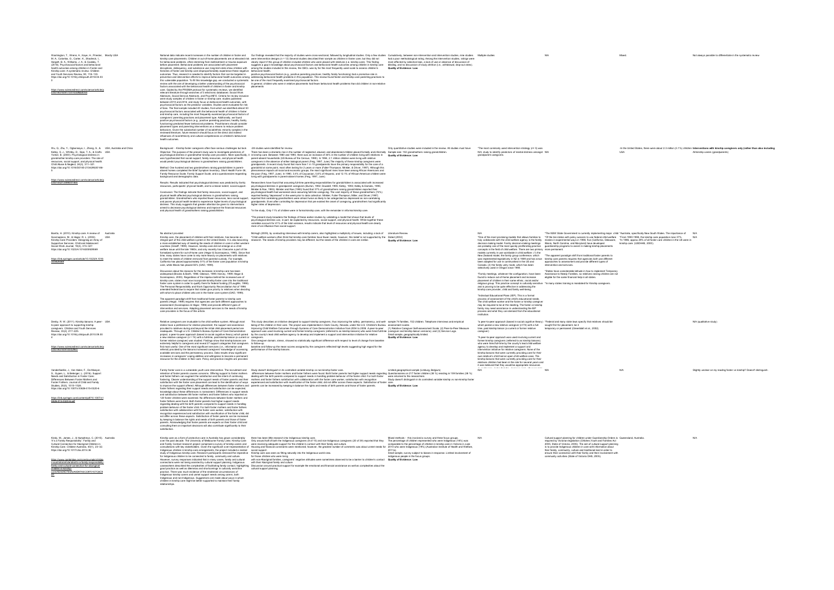| Washington, T., Wrenn, A., Kaye, H., Priester, Mostly USA<br>M. A., Colombo, G., Carter, K., Shadreck, I.,<br>Hargett, B. A., Williams, J. A., & Coakley, T.<br>(2018). Psychosocial factors and behaviory<br>.<br>Nealth outcomes among children in Foster an:<br>Cinship care: A systematic review. Children<br>Kinship care: A syste<br>rememp cattle in systematic rennew. Childhen<br>and Youth Services Review, 90, 118–133.<br>https://doi.org/10.1016/j.childyouth.2018.04.03<br>https://www.sciencedrect.com/science/article/p<br>#/50190740917307430#NN0055 | $\label{eq:constrained} \begin{minipage}{0.9\textwidth} \begin{tabular}{lcccc} \textbf{CAG} & \textbf{GAG} & \textbf{GAG} & \textbf{GAG} & \textbf{GAG} & \textbf{GAG} & \textbf{GAG} & \textbf{GAG} & \textbf{GAG} & \textbf{GAG} & \textbf{GAG} & \textbf{GAG} & \textbf{GAG} & \textbf{GAG} & \textbf{GAG} & \textbf{GAG} & \textbf{GAG} & \textbf{GAG} & \textbf{GAG} & \textbf{GAG} & \textbf{GAG} & \textbf{GAG} & \textbf{GAG} & \textbf{G$<br>psychosocial factors associated with the behavioral health of children in foste<br>phytostopal waves also<br>cannot extend the measurement of the control of the control of the<br>cannot control of the control of the control of the control of the<br>control of the control of the control of the control of the cont<br>reviewed literature, future research should focus on the direct and indirect<br>influences of race/ethnicity and cultural competencies on children's behavioral<br>health outcomes                                                                                                                                                                                                                                                                                                                                                                                                                                                                                                                                  |                                                                                                                                                                                                                                                                                                                                                                                                                                                                                                                                                                                                                                                                                                                                                                                                                                                                                                                                                                                                                                                                                                                                                                                                                                                                                                                                                                                                                                                                                                      | ervention and intervention studies, nine studies    Multiple studies                                                                                                                              |                                                                                                                                                                                                                                                                                                                                                                                                                                                                                                                                                                                                                                                                                                                                                                                                                         |                                                                                                                                                                                                                                                                                                                                                                                                                                                                                                                                                                                                                                                                                                                                                                                                                                                                                                                                                                                                                                  |      | Not always possible to differentiate in the systematic review                                                                                                                   |
|-----------------------------------------------------------------------------------------------------------------------------------------------------------------------------------------------------------------------------------------------------------------------------------------------------------------------------------------------------------------------------------------------------------------------------------------------------------------------------------------------------------------------------------------------------------------------|--------------------------------------------------------------------------------------------------------------------------------------------------------------------------------------------------------------------------------------------------------------------------------------------------------------------------------------------------------------------------------------------------------------------------------------------------------------------------------------------------------------------------------------------------------------------------------------------------------------------------------------------------------------------------------------------------------------------------------------------------------------------------------------------------------------------------------------------------------------------------------------------------------------------------------------------------------------------------------------------------------------------------------------------------------------------------------------------------------------------------------------------------------------------------------------------------------------------------------------------------------------------------------------------------------------------------------------------------------------------------------------------------------------------------------------------------------------------------------------------------------|------------------------------------------------------------------------------------------------------------------------------------------------------------------------------------------------------------------------------------------------------------------------------------------------------------------------------------------------------------------------------------------------------------------------------------------------------------------------------------------------------------------------------------------------------------------------------------------------------------------------------------------------------------------------------------------------------------------------------------------------------------------------------------------------------------------------------------------------------------------------------------------------------------------------------------------------------------------------------------------------------------------------------------------------------------------------------------------------------------------------------------------------------------------------------------------------------------------------------------------------------------------------------------------------------------------------------------------------------------------------------------------------------------------------------------------------------------------------------------------------------|---------------------------------------------------------------------------------------------------------------------------------------------------------------------------------------------------|-------------------------------------------------------------------------------------------------------------------------------------------------------------------------------------------------------------------------------------------------------------------------------------------------------------------------------------------------------------------------------------------------------------------------------------------------------------------------------------------------------------------------------------------------------------------------------------------------------------------------------------------------------------------------------------------------------------------------------------------------------------------------------------------------------------------------|----------------------------------------------------------------------------------------------------------------------------------------------------------------------------------------------------------------------------------------------------------------------------------------------------------------------------------------------------------------------------------------------------------------------------------------------------------------------------------------------------------------------------------------------------------------------------------------------------------------------------------------------------------------------------------------------------------------------------------------------------------------------------------------------------------------------------------------------------------------------------------------------------------------------------------------------------------------------------------------------------------------------------------|------|---------------------------------------------------------------------------------------------------------------------------------------------------------------------------------|
| Wu, Q., Zhu, Y., Ogbonnaya, I., Zhang, S., & USA, Australia and China<br>Kelley, S. J., Whitley, D., Sipe, T. A., & Crofts USA<br>Keney, S. J., Wwittey, D., Sipp, I., A., & Clotte<br>Yorker, B. (2000). Psychological distress in<br>grandmother kinship care providers: The role of<br>resources, social support, and physical health.<br>Child Abuse & Neglect, 24(3), 3<br>https://www.sciencedirect.com/science/article/p<br>il/S0145213499001465                                                                                                               | Background - Kinship foster caregivers often face serious challenges but lack - - 28 studies were identified for review<br>Objective: The purpose of the present study was to investigate predictors of<br>Method: One hundred and two grandmothers raising grandchildren in parent-<br>absent homes completed the Brief Symptom Inventory, Short Health Form-36,<br>Family Resource Scale, Family Support Scale, and a questionnaire requesting<br>background and demographic dat<br>Results: Results indicated that psychological distress was predicted by family<br>resources, participants' physical health, and to a lesser extent, social support.<br>Conclusion: The findings indicate that family resources, social support, and<br>physical health affected psychological distress in grandmothers raising<br>orandchildren. Grandmothers who reported fewer resources, less social support<br>and poorer physical health tended to experience higher levels of psychological<br>mus poone prymem mumu venework compensation be given to intervent<br>distress. This study suggests that greater attention be given to intervent<br>aimed to decrease psychological distress and improve the financial reso<br>and physi                                                                                                                                                                                                                                                                     | There has been a dramatic rise in the number of neglected, abused, and abandoned children placed formally and informally Sample size: 102 grandmothers raising grandchildren.<br>ресію та время «По рожите выружения» («Волос» («Волос» выружения и по выружения совершения по совершения и пол<br>В предложения пользования происходиру происходит («Волос» и происходится происходит в совершении происходит и<br>doarents in parent-absent homes (Feig. 1997, June).<br>Researchers have found that assuming full-lime parenting responsibilities for grandchildren is associated with increased<br>psychological distribution in pandparent caregivers (Burbon, 1992). Downalt, 1995; Kelley, 1993): Kel<br>reported that caretaking grandmothers were almost twice as likely to be categorized as depressed as non-caretaking<br>grandparents. Even after controlling for depression that pre-existed the onset of caregiving, grandmothers<br>higher rates of depression<br>"In the study, Only 11% of children were in formal kinship care, with the remainder in informal kinship care<br>"The present study broadens the findings of these earlier studies by validating a model that shows that levels of<br>psychological distress can, in part, be explained by resources, social support, and physical health. While together these<br>variables account for 41% of the total variance, results indicate that level of resources and physic<br>more of an influence than social support | Only quantitative studies were included in the review. All studies must have<br>Quality of Evidence: Low                                                                                          | *The most commonly used intervention strategy (n= 5) wa<br>NIA, study to identify predictors of mental distress amongst NIA<br>grandparent caregiver                                                                                                                                                                                                                                                                                                                                                                                                                                                                                                                                                                                                                                                                    |                                                                                                                                                                                                                                                                                                                                                                                                                                                                                                                                                                                                                                                                                                                                                                                                                                                                                                                                                                                                                                  | 1894 | -In the United States, there were about 2.3 million (3.1%) children Interventions with kinship caregivers only (rather than also including<br>All kinship carers (grandparents) |
| Boetto, H. (2010). Kinship care: A review of Australia<br>Scannapieco, M., & Hegar, R. L. (2002).<br>Kinship Care Providers: Designing an Array of<br><b>USA</b><br>Supportive Services, Child and Adolescent<br>Social Work Journal, 19(4), 315-327.<br>https://doi.org/10.1023/A:1016305929569<br>https://link.springer.com/article/10.1023/A:1016<br>305929569                                                                                                                                                                                                     | No abstract provided<br>.<br>Kinship care, the placement of children with their relatives, has become an<br>integral part of the child welfare system in the United States. It is also becoming<br>a more established way of meeting the needs of children in care in other wester<br>countries (Greeff, 1999). However, kinship care did not emerge as a child<br>welfare issue until the late 1980s, and only recently has it become a part of the<br>wentre issue until the tate 1980s, and only recently nas it become a part of the formulated system for cut-of-home care (Hegar & Scannapieco, 1995). Since that the relations of the state of the state of the state of the st<br>Discussion about the reasons for the increases in kinshin care has here<br>Discussion about the reasons for the increases in kinnly care has been<br>indiscussion about the reasons for the impact behind the increased use of<br>Scamrapheo, 2000). Regardless of the impact behind the increased use of<br>Kinsh<br>amended federal law to require that states give priority to relatives when deciding<br>with whom to place children who are in the foster care system (GAD, 1999).<br>The annarent naradinm shift from traditional foster narents to kinship can<br>parents (Hegar, 1999) requires that agencies use both different approach<br>assessment (Scarnapieco & Hegar, 1996) and provide different types of<br>intervention and services. Adapting placement services to the needs of kinship | McHugh (2009), by conducting interviews with kinship carers, also highlighted a multiplicity of issues, including a lack of Literature Review<br>"Child welfare workers often think that kindhip care families have fewer needs, however, this belief is not supported by the Dated (2002)<br>research. The needs of kinship providers may be different, but the needs of the chil                                                                                                                                                                                                                                                                                                                                                                                                                                                                                                                                                                                                                                                                                                                                                                                                                                                                                                                                                                                                                                                                                                                   | Quality of Evidence: Low                                                                                                                                                                          | consepts are not must workflatds in child welfare: (1) the<br>Mew Zealand model, the family group conference, which<br>was implemented legislatively in NZ in 1989 and has since<br>been adapted for use in communitied in the US and<br>Canada. (2) the family unity mode, which has been<br>selectively used in Oregon since 1990<br>"Family meetings, whatever the configuration, have been<br>kinship care provider, child and family well-being.<br>"Individual Educational Plans (IEP). This is a formal<br>process of assessment of the child's educational needs.<br>The child welfare worker and the foster or kinship caregive<br>may be required to be at the meeting. The foster or kinship<br>family may need assistance in understanding the IEP<br>process and what they can demand from the educational | *The NSW State Government is currently implementing major child *Australia, specifically New South Wales. The importance of NA<br>The affect and provide make a lateral term of the same and account the second and account of the same and account of the same of the same of the same of the same of the same of the same of the same of the same of the same<br>The apparent paradigm shift from traditional foster parents to<br>se Kinship care parents requires that agencies both use different<br>approaches to assessment and provide different types of<br>intervention and services.<br>*States have considerable latitude in how to implement Termorary<br>Assistance to Needy Families, so relatives raising children<br>eligible for the same financial help in all states.<br>found to reduce out-of-horm placement and increases<br>placement of children in their same ethnic, racial and/or adjoints for the earne financial help in all atabas.<br>relacement of children in their same ethnic, racial and/or |      |                                                                                                                                                                                 |
| Denhy R. W. (2011) Kinshin Islands: A neer, 119A<br>to-peer approach to supporting kinship<br>caregivers. Children and Youth Services<br>Review, 33(2), 217-225.<br>https://doi.org/10.1016/j.childyouth.2010.09.00<br>https://www.sciencedirect.com/science/article/p<br>ii/S0190740910002963                                                                                                                                                                                                                                                                        | extremely helpful to caregivers and reveal 27 support categories that caregivers to follow-up.<br>find most useful. One of the most significant services (i.e., information and baseline and<br>into music control at music sugmission announce (i.e., intermination and consideration and under-presentation<br>available aervices and the permanency process. Data results above algoritant<br>available aervices and the permanen<br>resource for the children in their care. Policy and practice insights are provided                                                                                                                                                                                                                                                                                                                                                                                                                                                                                                                                                                                                                                                                                                                                                                                                                                                                                                                                                                             | Rainte compare in the basic transfer of the property of the study of the main of the main of the comparation in the comparation in the comparation in the comparation in the comparation of the comparation in the comparation<br>former relative caregiver) was studied. Findings show that kinship liaisons are One caregiver domain, stress, showed no statistically significant difference with respect to level of change from baseline<br>baseline and follow-up the mean scores assigned by the caregivers reflected high levels suppositing high regard for the                                                                                                                                                                                                                                                                                                                                                                                                                                                                                                                                                                                                                                                                                                                                                                                                                                                                                                                              |                                                                                                                                                                                                   | caregiver)<br>"A peer-to-peer approach was used involving current and<br>former kinship caregivers (referred to as kinship liaisons)<br>who were hired full-time by the county's lead child wellare<br>was weak unsert under the main of the state of the approxy to develop and implement a support and<br>intervention initiative for relative caregivers. None of their<br>kinship liaisons that were currently providing care for their<br>kinship liaisons that were currently providing care for their<br>relatives children had been in the role for several years and<br>it was believed that they would be appropriate resources                                                                                                                                                                               | "a peer-lo-peer approach (based in social cognitive theory) "Federal and many state laws specify that relatives should be<br>which pained a new relative caregiver (n=74) with a full sought first for placement, be it<br>time, pai                                                                                                                                                                                                                                                                                                                                                                                                                                                                                                                                                                                                                                                                                                                                                                                             |      | N/A (qualitative study)                                                                                                                                                         |
| Vanderfaeille J Van Holen F De Maeue<br>S., Gypen, L., & Belenger, L. (2016). Support<br>Needs and Satisfaction in Foster Care:<br>Differences Between Foster Mothers and<br>Foster Fathers, Journal of Child and Family<br>Studies, 25(5), 1515-1524.<br>https://doi.org/10.1007/s10826-015-0320-6<br>https://link.springer.com/content/pdf/10.1007/s1<br>0826-015-0320-6.pdf                                                                                                                                                                                        | Now realize a brown and proposed in non-production and anti-american in support meets for<br>the land safety affects of the members and footback factors in support meets<br>and safety force the second of the control of the secon<br>regarding dealing with the birth parents compared to support needs in handling<br>problem behavior of the foster child. For both foster mothers and foster fathers<br>.<br>satisfaction with collaboration with the foster care worker satisfaction with<br>sansnachen wur collaboration with the foster care worker, sansfaction with recognition experienced and satisfaction with reunification of the foster child, did<br>not differ across these aspects. Satisfaction of factor parent                                                                                                                                                                                                                                                                                                                                                                                                                                                                                                                                                                                                                                                                                                                                                                  | Foreily foster care is a vulnerable vouth care intervention. The recruitment and Study doesn't distinguish in its controlled variable kinshin vs non-kinshin foster care<br>rany case care a unergy and a memory in the comment and Study death distingent in the comment and the case of the comment of the comment of the comment of the comment of the comment of the comment of the comment of the com                                                                                                                                                                                                                                                                                                                                                                                                                                                                                                                                                                                                                                                                                                                                                                                                                                                                                                                                                                                                                                                                                           | Limited geographical sample (Limburg, Belgium)                                                                                                                                                    | N/A                                                                                                                                                                                                                                                                                                                                                                                                                                                                                                                                                                                                                                                                                                                                                                                                                     |                                                                                                                                                                                                                                                                                                                                                                                                                                                                                                                                                                                                                                                                                                                                                                                                                                                                                                                                                                                                                                  | MA   | Slightly unclear on my reading foster vs kinship? Doesn't distinguish                                                                                                           |
| Kiraly, M., James, J., & Humphreys, C. (2015). Australia<br>"It's a Family Responsibility: Family and<br>Cultural Connection for Aboriginal Children in<br>Kinship Care. Children Australia, 40(1), 23-32<br>https://doi.org/10.1017/cha.2014.36<br>https://www.cambridge.org/core/journals/childre<br>mescama samattiga urge ofenournaischildre<br>naustralialarticielabelits a family-responsibility<br>family-and cultural connection for aboriginal<br>20000783009E01570909                                                                                       | Kinship care as a form of protective care in Australia has grown considerably there has been little research into Indigenous kinship care.<br>cases and a distribution of the strainings in culturally sensitive process and shortcomings in culturally sensitive<br>practice. There was much evidence of the strainened circumstances of<br>Indigenous kinship carers and unmet s<br>Indigenous and non-Indigenous. Suggestions are made about ways in which<br>children in kinship care might be better supported to maintain their family                                                                                                                                                                                                                                                                                                                                                                                                                                                                                                                                                                                                                                                                                                                                                                                                                                                                                                                                                           | However, survey responses indicated that in many cases, family and cultural with non-Aboriginal families, caregivers' negative attitudes were sometimes observed to be a barrier to children's contact Quality of Evidence: Lo<br>connections were not being assisted by cultural support planning. Indigenous with their Abonginal family and culture<br>caseworkers described the complexities of facilitating family contact, highlighting Discussion around pra<br>cultural support planning                                                                                                                                                                                                                                                                                                                                                                                                                                                                                                                                                                                                                                                                                                                                                                                                                                                                                                                                                                                                     | Mixed methods - this involved a survey and three focus groups.<br>2011a).<br>Small sample, survey subject to biases in response. Limited involvement of<br>indigenous people in the focus groups. | NIA                                                                                                                                                                                                                                                                                                                                                                                                                                                                                                                                                                                                                                                                                                                                                                                                                     | Cultural support planning for children under Guardianship Orders is Queensland, Australia.<br>required by Victorian legislation (Children, Youth and Families Act<br>2005, State of Victoria, 2005). The aim of cultural support planning<br>s to provide Indigenous children in care with information about<br>is to provide imagenous criticism in case with minimizion about<br>their family, community, culture and traditional land in order to<br>ensure their connection with their family and their involvement with<br>community activities (S                                                                                                                                                                                                                                                                                                                                                                                                                                                                          |      | <b>N/A</b>                                                                                                                                                                      |